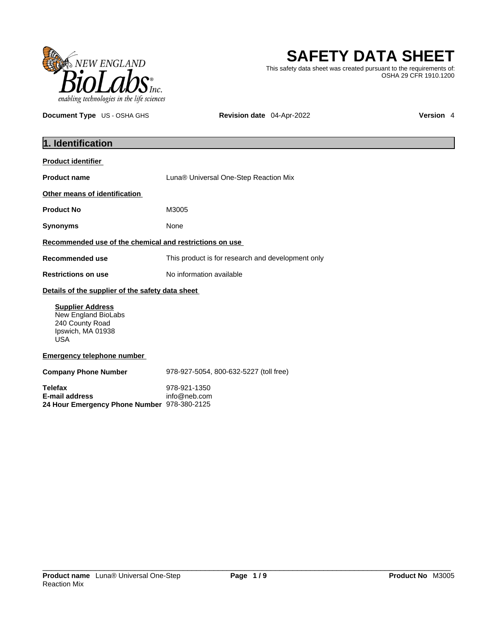

**SAFETY DATA SHEET**

This safety data sheet was created pursuant to the requirements of: OSHA 29 CFR 1910.1200

**Document Type** US - OSHA GHS **Revision date** 04-Apr-2022 **Version 4** 

| 1. Identification                                                                                    |                                                   |
|------------------------------------------------------------------------------------------------------|---------------------------------------------------|
| <b>Product identifier</b>                                                                            |                                                   |
| <b>Product name</b>                                                                                  | Luna <sup>®</sup> Universal One-Step Reaction Mix |
| Other means of identification                                                                        |                                                   |
| <b>Product No</b>                                                                                    | M3005                                             |
| <b>Synonyms</b>                                                                                      | None                                              |
| Recommended use of the chemical and restrictions on use                                              |                                                   |
| <b>Recommended use</b>                                                                               | This product is for research and development only |
| <b>Restrictions on use</b>                                                                           | No information available                          |
| Details of the supplier of the safety data sheet                                                     |                                                   |
| <b>Supplier Address</b><br>New England BioLabs<br>240 County Road<br>Ipswich, MA 01938<br><b>USA</b> |                                                   |
| <b>Emergency telephone number</b>                                                                    |                                                   |
| <b>Company Phone Number</b>                                                                          | 978-927-5054, 800-632-5227 (toll free)            |
| <b>Telefax</b><br><b>E-mail address</b><br>24 Hour Emergency Phone Number 978-380-2125               | 978-921-1350<br>info@neb.com                      |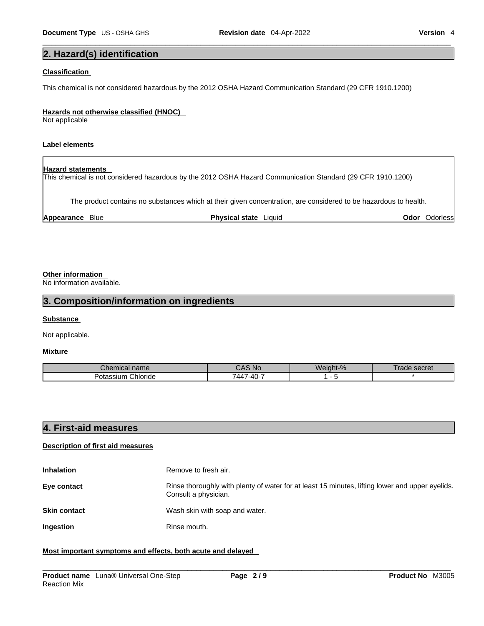# **2. Hazard(s) identification**

#### **Classification**

This chemical is not considered hazardous by the 2012 OSHA Hazard Communication Standard (29 CFR 1910.1200)

#### **Hazards not otherwise classified (HNOC)**

Not applicable

### **Label elements**

| <b>Hazard statements</b> | This chemical is not considered hazardous by the 2012 OSHA Hazard Communication Standard (29 CFR 1910.1200)      |      |           |
|--------------------------|------------------------------------------------------------------------------------------------------------------|------|-----------|
|                          | The product contains no substances which at their given concentration, are considered to be hazardous to health. |      |           |
| Appearance Blue          | <b>Physical state</b> Liquid                                                                                     | Odor | Odorlessl |

## **Other information**

No information available.

# **3. Composition/information on ingredients**

#### **Substance**

Not applicable.

### **Mixture**

| Cher<br>mical name           | <b>NC</b>                    | Weight-% | <b>CACTAT</b><br>an<br>SECIEL |
|------------------------------|------------------------------|----------|-------------------------------|
| Chloride<br>ıssıum<br>บเสรรเ | $\sim$<br>7-40-<br>'44.<br>w |          |                               |

## **4. First-aid measures**

#### **Description of first aid measures**

| <b>Inhalation</b>   | Remove to fresh air.                                                                                                    |
|---------------------|-------------------------------------------------------------------------------------------------------------------------|
| Eye contact         | Rinse thoroughly with plenty of water for at least 15 minutes, lifting lower and upper eyelids.<br>Consult a physician. |
| <b>Skin contact</b> | Wash skin with soap and water.                                                                                          |
| Ingestion           | Rinse mouth.                                                                                                            |

#### **Most important symptoms and effects, both acute and delayed**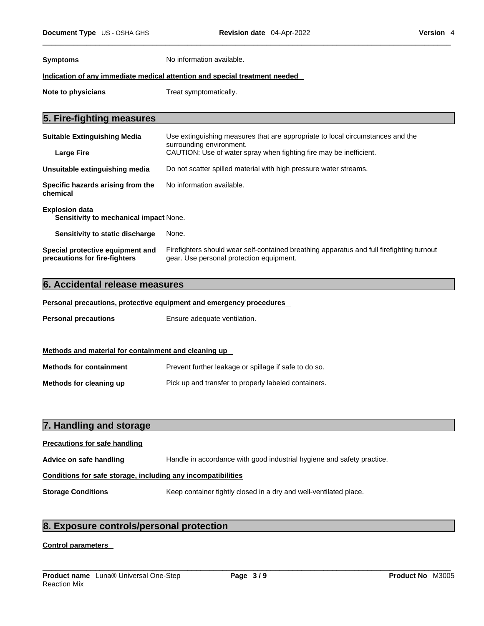**Symptoms** No information available.

### **Indication of any immediate medical attention and special treatment needed**

**Note to physicians** Treat symptomatically.

# **5. Fire-fighting measures**

| <b>Suitable Extinguishing Media</b>                                    | Use extinguishing measures that are appropriate to local circumstances and the<br>surrounding environment. |  |
|------------------------------------------------------------------------|------------------------------------------------------------------------------------------------------------|--|
| Large Fire                                                             | CAUTION: Use of water spray when fighting fire may be inefficient.                                         |  |
| Unsuitable extinguishing media                                         | Do not scatter spilled material with high pressure water streams.                                          |  |
| Specific hazards arising from the<br>chemical                          | No information available.                                                                                  |  |
| <b>Explosion data</b><br><b>Sensitivity to mechanical impact None.</b> |                                                                                                            |  |
| Sensitivity to static discharge                                        | None.                                                                                                      |  |

| Special protective equipment and | Firefighters should wear self-contained breathing apparatus and full firefighting turnout |
|----------------------------------|-------------------------------------------------------------------------------------------|
| precautions for fire-fighters    | gear. Use personal protection equipment.                                                  |

## **6. Accidental release measures**

**Personal precautions, protective equipment and emergency procedures**

**Personal precautions** Ensure adequate ventilation.

| Methods and material for containment and cleaning up |                                                       |  |  |
|------------------------------------------------------|-------------------------------------------------------|--|--|
| <b>Methods for containment</b>                       | Prevent further leakage or spillage if safe to do so. |  |  |
| Methods for cleaning up                              | Pick up and transfer to properly labeled containers.  |  |  |

| 7. Handling and storage                                      |                                                                        |  |
|--------------------------------------------------------------|------------------------------------------------------------------------|--|
| <b>Precautions for safe handling</b>                         |                                                                        |  |
| Advice on safe handling                                      | Handle in accordance with good industrial hygiene and safety practice. |  |
| Conditions for safe storage, including any incompatibilities |                                                                        |  |
| <b>Storage Conditions</b>                                    | Keep container tightly closed in a dry and well-ventilated place.      |  |

# **8. Exposure controls/personal protection**

## **Control parameters**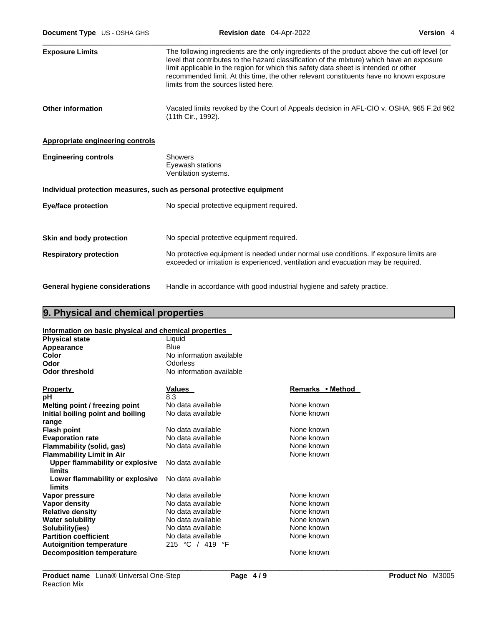| <b>Exposure Limits</b>                  | The following ingredients are the only ingredients of the product above the cut-off level (or<br>level that contributes to the hazard classification of the mixture) which have an exposure<br>limit applicable in the region for which this safety data sheet is intended or other<br>recommended limit. At this time, the other relevant constituents have no known exposure<br>limits from the sources listed here. |
|-----------------------------------------|------------------------------------------------------------------------------------------------------------------------------------------------------------------------------------------------------------------------------------------------------------------------------------------------------------------------------------------------------------------------------------------------------------------------|
| <b>Other information</b>                | Vacated limits revoked by the Court of Appeals decision in AFL-CIO v. OSHA, 965 F.2d 962<br>(11th Cir., 1992).                                                                                                                                                                                                                                                                                                         |
| <b>Appropriate engineering controls</b> |                                                                                                                                                                                                                                                                                                                                                                                                                        |
| <b>Engineering controls</b>             | <b>Showers</b><br>Eyewash stations<br>Ventilation systems.                                                                                                                                                                                                                                                                                                                                                             |
|                                         | Individual protection measures, such as personal protective equipment                                                                                                                                                                                                                                                                                                                                                  |
| <b>Eye/face protection</b>              | No special protective equipment required.                                                                                                                                                                                                                                                                                                                                                                              |
| Skin and body protection                | No special protective equipment required.                                                                                                                                                                                                                                                                                                                                                                              |
| <b>Respiratory protection</b>           | No protective equipment is needed under normal use conditions. If exposure limits are<br>exceeded or irritation is experienced, ventilation and evacuation may be required.                                                                                                                                                                                                                                            |
| <b>General hygiene considerations</b>   | Handle in accordance with good industrial hygiene and safety practice.                                                                                                                                                                                                                                                                                                                                                 |

# **9. Physical and chemical properties**

## **Information on basic physical and chemical properties**

| <b>Physical state</b>                     | Liquid                   |                  |
|-------------------------------------------|--------------------------|------------------|
| Appearance                                | Blue                     |                  |
| <b>Color</b>                              | No information available |                  |
| Odor                                      | <b>Odorless</b>          |                  |
| <b>Odor threshold</b>                     | No information available |                  |
| <b>Property</b>                           | Values                   | Remarks • Method |
| рH                                        | 8.3                      |                  |
| Melting point / freezing point            | No data available        | None known       |
| Initial boiling point and boiling         | No data available        | None known       |
| range                                     |                          |                  |
| <b>Flash point</b>                        | No data available        | None known       |
| <b>Evaporation rate</b>                   | No data available        | None known       |
| Flammability (solid, gas)                 | No data available        | None known       |
| <b>Flammability Limit in Air</b>          |                          | None known       |
| <b>Upper flammability or explosive</b>    | No data available        |                  |
| limits                                    |                          |                  |
| Lower flammability or explosive<br>limits | No data available        |                  |
| Vapor pressure                            | No data available        | None known       |
| <b>Vapor density</b>                      | No data available        | None known       |
| <b>Relative density</b>                   | No data available        | None known       |
| <b>Water solubility</b>                   | No data available        | None known       |
| Solubility(ies)                           | No data available        | None known       |
| <b>Partition coefficient</b>              | No data available        | None known       |
| <b>Autoignition temperature</b>           | 215 °C / 419 °F          |                  |
| <b>Decomposition temperature</b>          |                          | None known       |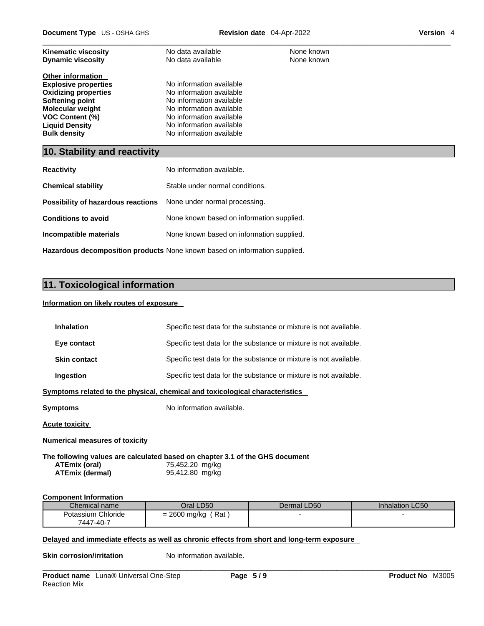| <b>Kinematic viscosity</b>  | No data available        | None known |
|-----------------------------|--------------------------|------------|
| <b>Dynamic viscosity</b>    | No data available        | None known |
| <b>Other information</b>    |                          |            |
| <b>Explosive properties</b> | No information available |            |
| <b>Oxidizing properties</b> | No information available |            |
| Softening point             | No information available |            |
| <b>Molecular weight</b>     | No information available |            |
| <b>VOC Content (%)</b>      | No information available |            |
| <b>Liquid Density</b>       | No information available |            |
| <b>Bulk density</b>         | No information available |            |
|                             |                          |            |

# **10. Stability and reactivity**

| <b>Reactivity</b>                                                       | No information available.                 |
|-------------------------------------------------------------------------|-------------------------------------------|
| <b>Chemical stability</b>                                               | Stable under normal conditions.           |
| <b>Possibility of hazardous reactions</b> None under normal processing. |                                           |
| <b>Conditions to avoid</b>                                              | None known based on information supplied. |
| Incompatible materials                                                  | None known based on information supplied. |
|                                                                         |                                           |

**Hazardous decomposition products** None known based on information supplied.

# **11. Toxicological information**

#### **Information on likely routes of exposure**

| <b>Inhalation</b>                                                            | Specific test data for the substance or mixture is not available. |  |
|------------------------------------------------------------------------------|-------------------------------------------------------------------|--|
| Eye contact                                                                  | Specific test data for the substance or mixture is not available. |  |
| <b>Skin contact</b>                                                          | Specific test data for the substance or mixture is not available. |  |
| Ingestion                                                                    | Specific test data for the substance or mixture is not available. |  |
| Symptoms related to the physical, chemical and toxicological characteristics |                                                                   |  |
| Symptoms                                                                     | No information available.                                         |  |
| Acute toxicity                                                               |                                                                   |  |
| <b>Numerical measures of toxicity</b>                                        |                                                                   |  |
| The following values are calculated based on chapter 3.1 of the GHS document |                                                                   |  |

**ATEmix (oral)** 75,452.20 mg/kg<br>**ATEmix (dermal)** 95,412.80 mg/kg **ATEmix** (dermal)

#### **Component Information**

| ____               |                        |             |                        |
|--------------------|------------------------|-------------|------------------------|
| Chemical name      | Oral LD50              | Dermal LD50 | <b>Inhalation LC50</b> |
| Potassium Chloride | Rat<br>2600 mg/kg<br>- |             |                        |
| 7447-40-7          |                        |             |                        |

## **Delayed and immediate effects as well as chronic effects from short and long-term exposure**

**Skin corrosion/irritation** No information available.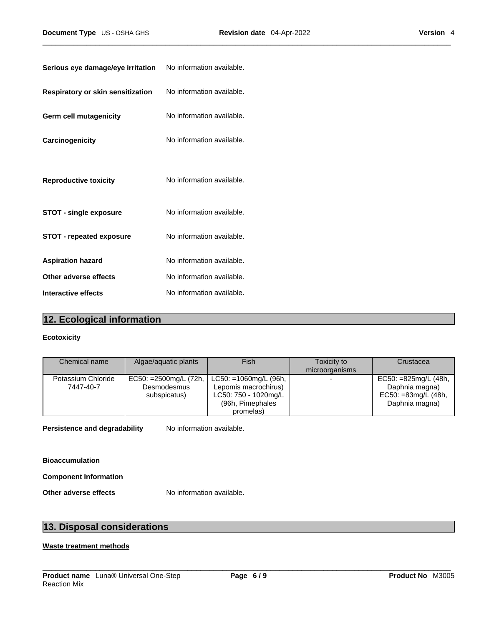| Serious eye damage/eye irritation | No information available. |
|-----------------------------------|---------------------------|
| Respiratory or skin sensitization | No information available. |
| <b>Germ cell mutagenicity</b>     | No information available. |
| Carcinogenicity                   | No information available. |
| <b>Reproductive toxicity</b>      | No information available. |
| <b>STOT - single exposure</b>     | No information available. |
| <b>STOT - repeated exposure</b>   | No information available. |
| <b>Aspiration hazard</b>          | No information available. |
| Other adverse effects             | No information available. |
| Interactive effects               | No information available. |

# **12. Ecological information**

## **Ecotoxicity**

| Chemical name      | Algae/aquatic plants  | <b>Fish</b>                 | Toxicity to    | Crustacea               |
|--------------------|-----------------------|-----------------------------|----------------|-------------------------|
|                    |                       |                             | microorganisms |                         |
| Potassium Chloride | EC50: =2500mg/L (72h, | $LC50: = 1060$ mg/L (96h, 1 | -              | $EC50: = 825mg/L (48h,$ |
| 7447-40-7          | Desmodesmus           | Lepomis macrochirus)        |                | Daphnia magna)          |
|                    | subspicatus)          | LC50: 750 - 1020mg/L        |                | EC50: =83mg/L (48h,     |
|                    |                       | (96h, Pimephales            |                | Daphnia magna)          |
|                    |                       | promelas)                   |                |                         |

**Persistence and degradability** No information available.

**Bioaccumulation**

**Component Information**

**Other adverse effects** No information available.

# **13. Disposal considerations**

## **Waste treatment methods**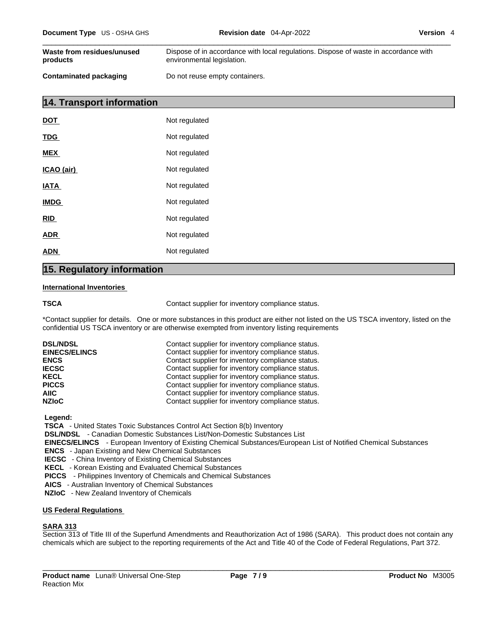| Document Type US - OSHA GHS            | <b>Revision date</b> 04-Apr-2022                                                                                   | Version 4 |
|----------------------------------------|--------------------------------------------------------------------------------------------------------------------|-----------|
| Waste from residues/unused<br>products | Dispose of in accordance with local regulations. Dispose of waste in accordance with<br>environmental legislation. |           |
| <b>Contaminated packaging</b>          | Do not reuse empty containers.                                                                                     |           |

# **14. Transport information**

| DOT         | Not regulated |
|-------------|---------------|
| <b>TDG</b>  | Not regulated |
| <b>MEX</b>  | Not regulated |
| ICAO (air)  | Not regulated |
| <b>IATA</b> | Not regulated |
| <b>IMDG</b> | Not regulated |
| <u>RID</u>  | Not regulated |
| <u>ADR</u>  | Not regulated |
| ADN         | Not regulated |
|             |               |

## **15. Regulatory information**

#### **International Inventories**

**TSCA Contact supplier for inventory compliance status.** 

\*Contact supplier for details. One or more substances in this product are either not listed on the US TSCA inventory, listed on the confidential US TSCA inventory or are otherwise exempted from inventory listing requirements

| <b>DSL/NDSL</b>      | Contact supplier for inventory compliance status. |
|----------------------|---------------------------------------------------|
| <b>EINECS/ELINCS</b> | Contact supplier for inventory compliance status. |
| <b>ENCS</b>          | Contact supplier for inventory compliance status. |
| <b>IECSC</b>         | Contact supplier for inventory compliance status. |
| <b>KECL</b>          | Contact supplier for inventory compliance status. |
| <b>PICCS</b>         | Contact supplier for inventory compliance status. |
| AIIC.                | Contact supplier for inventory compliance status. |
| <b>NZIOC</b>         | Contact supplier for inventory compliance status. |

 **Legend:** 

 **TSCA** - United States Toxic Substances Control Act Section 8(b) Inventory

 **DSL/NDSL** - Canadian Domestic Substances List/Non-Domestic Substances List

 **EINECS/ELINCS** - European Inventory of Existing Chemical Substances/European List of Notified Chemical Substances

 **ENCS** - Japan Existing and New Chemical Substances

 **IECSC** - China Inventory of Existing Chemical Substances

 **KECL** - Korean Existing and Evaluated Chemical Substances

 **PICCS** - Philippines Inventory of Chemicals and Chemical Substances

 **AICS** - Australian Inventory of Chemical Substances

 **NZIoC** - New Zealand Inventory of Chemicals

#### **US Federal Regulations**

## **SARA 313**

Section 313 of Title III of the Superfund Amendments and Reauthorization Act of 1986 (SARA). This product does not contain any chemicals which are subject to the reporting requirements of the Act and Title 40 of the Code of Federal Regulations, Part 372.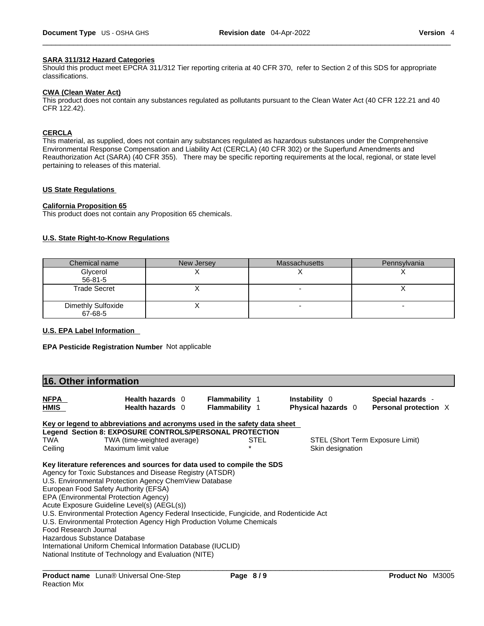#### **SARA 311/312 Hazard Categories**

Should this product meet EPCRA 311/312 Tier reporting criteria at 40 CFR 370, refer to Section 2 of this SDS for appropriate classifications.

#### **CWA (Clean WaterAct)**

This product does not contain any substances regulated as pollutants pursuant to the Clean Water Act (40 CFR 122.21 and 40 CFR 122.42).

#### **CERCLA**

This material, as supplied, does not contain any substances regulated as hazardous substances under the Comprehensive Environmental Response Compensation and Liability Act (CERCLA) (40 CFR 302) or the Superfund Amendments and Reauthorization Act (SARA) (40 CFR 355). There may be specific reporting requirements at the local, regional, or state level pertaining to releases of this material.

#### **US State Regulations**

#### **California Proposition 65**

This product does not contain any Proposition 65 chemicals.

#### **U.S. State Right-to-Know Regulations**

| Chemical name                        | New Jersey | <b>Massachusetts</b> | Pennsylvania |
|--------------------------------------|------------|----------------------|--------------|
| Glycerol                             |            |                      |              |
| 56-81-5                              |            |                      |              |
| <b>Trade Secret</b>                  |            |                      |              |
| <b>Dimethly Sulfoxide</b><br>67-68-5 |            |                      |              |

### **U.S. EPA Label Information**

**EPA Pesticide Registration Number** Not applicable

| <b>NFPA</b><br>Health hazards 0<br><b>Flammability 1</b><br><b>Instability</b> 0<br>Special hazards -<br>HMIS<br><b>Flammability 1</b><br>Physical hazards 0<br>Personal protection X<br><b>Health hazards</b> 0                                                                                                                                                                                                                                                                                                                                                                                            |  |
|-------------------------------------------------------------------------------------------------------------------------------------------------------------------------------------------------------------------------------------------------------------------------------------------------------------------------------------------------------------------------------------------------------------------------------------------------------------------------------------------------------------------------------------------------------------------------------------------------------------|--|
|                                                                                                                                                                                                                                                                                                                                                                                                                                                                                                                                                                                                             |  |
| Key or legend to abbreviations and acronyms used in the safety data sheet                                                                                                                                                                                                                                                                                                                                                                                                                                                                                                                                   |  |
| Legend Section 8: EXPOSURE CONTROLS/PERSONAL PROTECTION                                                                                                                                                                                                                                                                                                                                                                                                                                                                                                                                                     |  |
| TWA<br>TWA (time-weighted average)<br>STEL (Short Term Exposure Limit)<br>STEL                                                                                                                                                                                                                                                                                                                                                                                                                                                                                                                              |  |
| Ceiling<br>Maximum limit value<br>Skin designation                                                                                                                                                                                                                                                                                                                                                                                                                                                                                                                                                          |  |
| Agency for Toxic Substances and Disease Registry (ATSDR)<br>U.S. Environmental Protection Agency ChemView Database<br>European Food Safety Authority (EFSA)<br>EPA (Environmental Protection Agency)<br>Acute Exposure Guideline Level(s) (AEGL(s))<br>U.S. Environmental Protection Agency Federal Insecticide, Fungicide, and Rodenticide Act<br>U.S. Environmental Protection Agency High Production Volume Chemicals<br>Food Research Journal<br>Hazardous Substance Database<br>International Uniform Chemical Information Database (IUCLID)<br>National Institute of Technology and Evaluation (NITE) |  |